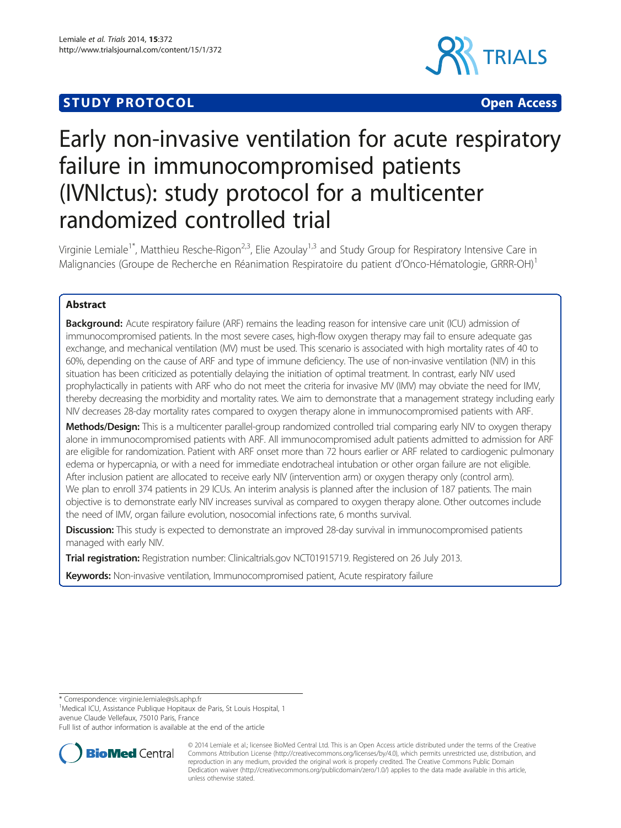# **STUDY PROTOCOL CONSUMING THE CONSUMING OPEN ACCESS**



# Early non-invasive ventilation for acute respiratory failure in immunocompromised patients (IVNIctus): study protocol for a multicenter randomized controlled trial

Virginie Lemiale<sup>1\*</sup>, Matthieu Resche-Rigon<sup>2,3</sup>, Elie Azoulay<sup>1,3</sup> and Study Group for Respiratory Intensive Care in Malignancies (Groupe de Recherche en Réanimation Respiratoire du patient d'Onco-Hématologie, GRRR-OH)<sup>1</sup>

# Abstract

Background: Acute respiratory failure (ARF) remains the leading reason for intensive care unit (ICU) admission of immunocompromised patients. In the most severe cases, high-flow oxygen therapy may fail to ensure adequate gas exchange, and mechanical ventilation (MV) must be used. This scenario is associated with high mortality rates of 40 to 60%, depending on the cause of ARF and type of immune deficiency. The use of non-invasive ventilation (NIV) in this situation has been criticized as potentially delaying the initiation of optimal treatment. In contrast, early NIV used prophylactically in patients with ARF who do not meet the criteria for invasive MV (IMV) may obviate the need for IMV, thereby decreasing the morbidity and mortality rates. We aim to demonstrate that a management strategy including early NIV decreases 28-day mortality rates compared to oxygen therapy alone in immunocompromised patients with ARF.

Methods/Design: This is a multicenter parallel-group randomized controlled trial comparing early NIV to oxygen therapy alone in immunocompromised patients with ARF. All immunocompromised adult patients admitted to admission for ARF are eligible for randomization. Patient with ARF onset more than 72 hours earlier or ARF related to cardiogenic pulmonary edema or hypercapnia, or with a need for immediate endotracheal intubation or other organ failure are not eligible. After inclusion patient are allocated to receive early NIV (intervention arm) or oxygen therapy only (control arm). We plan to enroll 374 patients in 29 ICUs. An interim analysis is planned after the inclusion of 187 patients. The main objective is to demonstrate early NIV increases survival as compared to oxygen therapy alone. Other outcomes include the need of IMV, organ failure evolution, nosocomial infections rate, 6 months survival.

**Discussion:** This study is expected to demonstrate an improved 28-day survival in immunocompromised patients managed with early NIV.

Trial registration: Registration number: Clinicaltrials.gov [NCT01915719](https://clinicaltrials.gov). Registered on 26 July 2013.

Keywords: Non-invasive ventilation, Immunocompromised patient, Acute respiratory failure

\* Correspondence: [virginie.lemiale@sls.aphp.fr](mailto:virginie.lemiale@sls.aphp.fr) <sup>1</sup>

<sup>1</sup>Medical ICU, Assistance Publique Hopitaux de Paris, St Louis Hospital, 1 avenue Claude Vellefaux, 75010 Paris, France

Full list of author information is available at the end of the article



© 2014 Lemiale et al.; licensee BioMed Central Ltd. This is an Open Access article distributed under the terms of the Creative Commons Attribution License [\(http://creativecommons.org/licenses/by/4.0\)](http://creativecommons.org/licenses/by/4.0), which permits unrestricted use, distribution, and reproduction in any medium, provided the original work is properly credited. The Creative Commons Public Domain Dedication waiver [\(http://creativecommons.org/publicdomain/zero/1.0/](http://creativecommons.org/publicdomain/zero/1.0/)) applies to the data made available in this article, unless otherwise stated.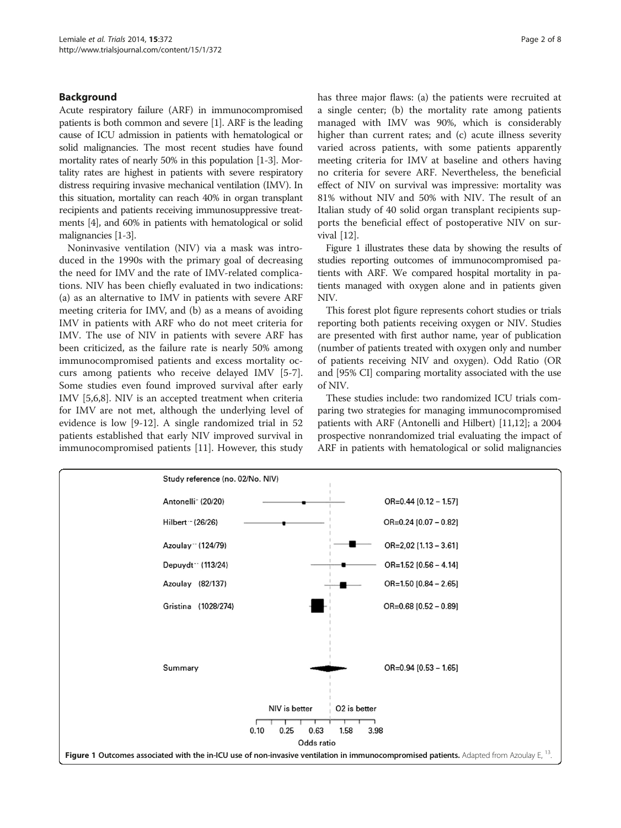# Background

Acute respiratory failure (ARF) in immunocompromised patients is both common and severe [\[1](#page-6-0)]. ARF is the leading cause of ICU admission in patients with hematological or solid malignancies. The most recent studies have found mortality rates of nearly 50% in this population [\[1-3\]](#page-6-0). Mortality rates are highest in patients with severe respiratory distress requiring invasive mechanical ventilation (IMV). In this situation, mortality can reach 40% in organ transplant recipients and patients receiving immunosuppressive treatments [\[4\]](#page-6-0), and 60% in patients with hematological or solid malignancies [[1-3\]](#page-6-0).

Noninvasive ventilation (NIV) via a mask was introduced in the 1990s with the primary goal of decreasing the need for IMV and the rate of IMV-related complications. NIV has been chiefly evaluated in two indications: (a) as an alternative to IMV in patients with severe ARF meeting criteria for IMV, and (b) as a means of avoiding IMV in patients with ARF who do not meet criteria for IMV. The use of NIV in patients with severe ARF has been criticized, as the failure rate is nearly 50% among immunocompromised patients and excess mortality occurs among patients who receive delayed IMV [[5-7](#page-6-0)]. Some studies even found improved survival after early IMV [\[5,6,8](#page-6-0)]. NIV is an accepted treatment when criteria for IMV are not met, although the underlying level of evidence is low [[9-](#page-6-0)[12](#page-7-0)]. A single randomized trial in 52 patients established that early NIV improved survival in immunocompromised patients [[11\]](#page-7-0). However, this study has three major flaws: (a) the patients were recruited at a single center; (b) the mortality rate among patients managed with IMV was 90%, which is considerably higher than current rates; and (c) acute illness severity varied across patients, with some patients apparently meeting criteria for IMV at baseline and others having no criteria for severe ARF. Nevertheless, the beneficial effect of NIV on survival was impressive: mortality was 81% without NIV and 50% with NIV. The result of an Italian study of 40 solid organ transplant recipients supports the beneficial effect of postoperative NIV on survival [\[12](#page-7-0)].

Figure 1 illustrates these data by showing the results of studies reporting outcomes of immunocompromised patients with ARF. We compared hospital mortality in patients managed with oxygen alone and in patients given NIV.

This forest plot figure represents cohort studies or trials reporting both patients receiving oxygen or NIV. Studies are presented with first author name, year of publication (number of patients treated with oxygen only and number of patients receiving NIV and oxygen). Odd Ratio (OR and [95% CI] comparing mortality associated with the use of NIV.

These studies include: two randomized ICU trials comparing two strategies for managing immunocompromised patients with ARF (Antonelli and Hilbert) [[11,12\]](#page-7-0); a 2004 prospective nonrandomized trial evaluating the impact of ARF in patients with hematological or solid malignancies

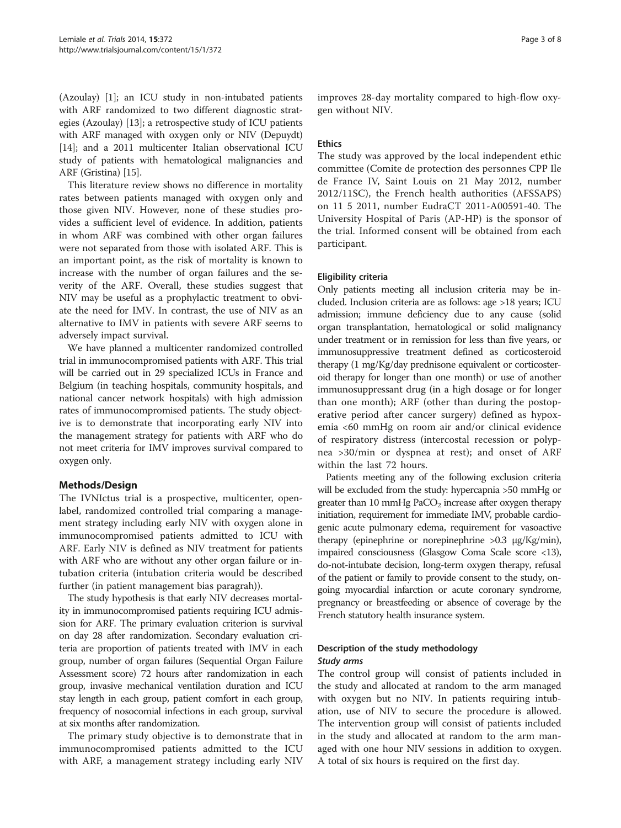(Azoulay) [[1\]](#page-6-0); an ICU study in non-intubated patients with ARF randomized to two different diagnostic strategies (Azoulay) [\[13\]](#page-7-0); a retrospective study of ICU patients with ARF managed with oxygen only or NIV (Depuydt) [[14](#page-7-0)]; and a 2011 multicenter Italian observational ICU study of patients with hematological malignancies and ARF (Gristina) [\[15\]](#page-7-0).

This literature review shows no difference in mortality rates between patients managed with oxygen only and those given NIV. However, none of these studies provides a sufficient level of evidence. In addition, patients in whom ARF was combined with other organ failures were not separated from those with isolated ARF. This is an important point, as the risk of mortality is known to increase with the number of organ failures and the severity of the ARF. Overall, these studies suggest that NIV may be useful as a prophylactic treatment to obviate the need for IMV. In contrast, the use of NIV as an alternative to IMV in patients with severe ARF seems to adversely impact survival.

We have planned a multicenter randomized controlled trial in immunocompromised patients with ARF. This trial will be carried out in 29 specialized ICUs in France and Belgium (in teaching hospitals, community hospitals, and national cancer network hospitals) with high admission rates of immunocompromised patients. The study objective is to demonstrate that incorporating early NIV into the management strategy for patients with ARF who do not meet criteria for IMV improves survival compared to oxygen only.

# Methods/Design

The IVNIctus trial is a prospective, multicenter, openlabel, randomized controlled trial comparing a management strategy including early NIV with oxygen alone in immunocompromised patients admitted to ICU with ARF. Early NIV is defined as NIV treatment for patients with ARF who are without any other organ failure or intubation criteria (intubation criteria would be described further (in patient management bias paragrah)).

The study hypothesis is that early NIV decreases mortality in immunocompromised patients requiring ICU admission for ARF. The primary evaluation criterion is survival on day 28 after randomization. Secondary evaluation criteria are proportion of patients treated with IMV in each group, number of organ failures (Sequential Organ Failure Assessment score) 72 hours after randomization in each group, invasive mechanical ventilation duration and ICU stay length in each group, patient comfort in each group, frequency of nosocomial infections in each group, survival at six months after randomization.

The primary study objective is to demonstrate that in immunocompromised patients admitted to the ICU with ARF, a management strategy including early NIV

improves 28-day mortality compared to high-flow oxygen without NIV.

#### Ethics

The study was approved by the local independent ethic committee (Comite de protection des personnes CPP Ile de France IV, Saint Louis on 21 May 2012, number 2012/11SC), the French health authorities (AFSSAPS) on 11 5 2011, number EudraCT 2011-A00591-40. The University Hospital of Paris (AP-HP) is the sponsor of the trial. Informed consent will be obtained from each participant.

#### Eligibility criteria

Only patients meeting all inclusion criteria may be included. Inclusion criteria are as follows: age >18 years; ICU admission; immune deficiency due to any cause (solid organ transplantation, hematological or solid malignancy under treatment or in remission for less than five years, or immunosuppressive treatment defined as corticosteroid therapy (1 mg/Kg/day prednisone equivalent or corticosteroid therapy for longer than one month) or use of another immunosuppressant drug (in a high dosage or for longer than one month); ARF (other than during the postoperative period after cancer surgery) defined as hypoxemia <60 mmHg on room air and/or clinical evidence of respiratory distress (intercostal recession or polypnea >30/min or dyspnea at rest); and onset of ARF within the last 72 hours.

Patients meeting any of the following exclusion criteria will be excluded from the study: hypercapnia >50 mmHg or greater than 10 mmHg  $PaCO<sub>2</sub>$  increase after oxygen therapy initiation, requirement for immediate IMV, probable cardiogenic acute pulmonary edema, requirement for vasoactive therapy (epinephrine or norepinephrine >0.3 μg/Kg/min), impaired consciousness (Glasgow Coma Scale score <13), do-not-intubate decision, long-term oxygen therapy, refusal of the patient or family to provide consent to the study, ongoing myocardial infarction or acute coronary syndrome, pregnancy or breastfeeding or absence of coverage by the French statutory health insurance system.

# Description of the study methodology Study arms

The control group will consist of patients included in the study and allocated at random to the arm managed with oxygen but no NIV. In patients requiring intubation, use of NIV to secure the procedure is allowed. The intervention group will consist of patients included in the study and allocated at random to the arm managed with one hour NIV sessions in addition to oxygen. A total of six hours is required on the first day.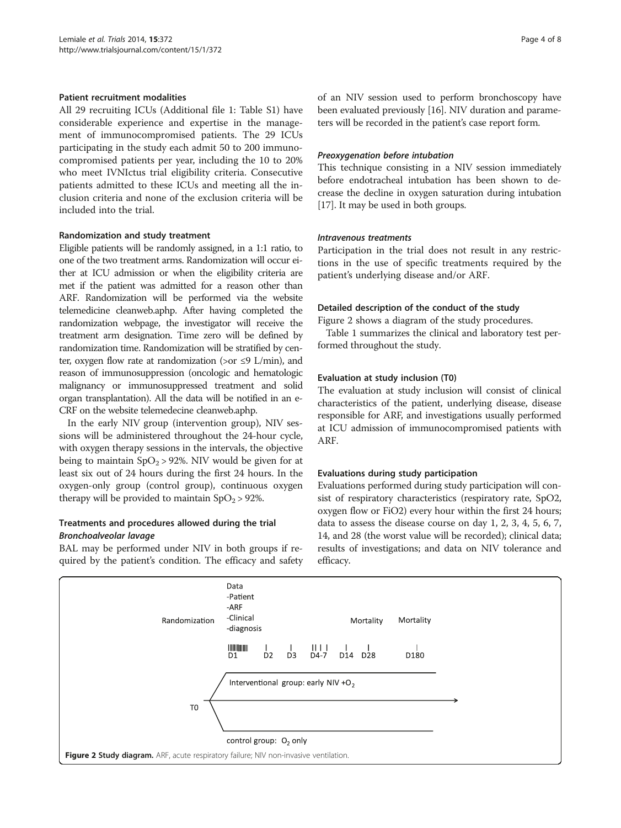#### Patient recruitment modalities

All 29 recruiting ICUs (Additional file [1](#page-6-0): Table S1) have considerable experience and expertise in the management of immunocompromised patients. The 29 ICUs participating in the study each admit 50 to 200 immunocompromised patients per year, including the 10 to 20% who meet IVNIctus trial eligibility criteria. Consecutive patients admitted to these ICUs and meeting all the inclusion criteria and none of the exclusion criteria will be included into the trial.

#### Randomization and study treatment

Eligible patients will be randomly assigned, in a 1:1 ratio, to one of the two treatment arms. Randomization will occur either at ICU admission or when the eligibility criteria are met if the patient was admitted for a reason other than ARF. Randomization will be performed via the website telemedicine cleanweb.aphp. After having completed the randomization webpage, the investigator will receive the treatment arm designation. Time zero will be defined by randomization time. Randomization will be stratified by center, oxygen flow rate at randomization (>or  $\leq$ 9 L/min), and reason of immunosuppression (oncologic and hematologic malignancy or immunosuppressed treatment and solid organ transplantation). All the data will be notified in an e-CRF on the website telemedecine cleanweb.aphp.

In the early NIV group (intervention group), NIV sessions will be administered throughout the 24-hour cycle, with oxygen therapy sessions in the intervals, the objective being to maintain  $SpO<sub>2</sub> > 92%$ . NIV would be given for at least six out of 24 hours during the first 24 hours. In the oxygen-only group (control group), continuous oxygen therapy will be provided to maintain  $SpO<sub>2</sub> > 92$ %.

# Treatments and procedures allowed during the trial Bronchoalveolar lavage

BAL may be performed under NIV in both groups if required by the patient's condition. The efficacy and safety

of an NIV session used to perform bronchoscopy have been evaluated previously [\[16\]](#page-7-0). NIV duration and parameters will be recorded in the patient's case report form.

#### Preoxygenation before intubation

This technique consisting in a NIV session immediately before endotracheal intubation has been shown to decrease the decline in oxygen saturation during intubation [[17](#page-7-0)]. It may be used in both groups.

#### Intravenous treatments

Participation in the trial does not result in any restrictions in the use of specific treatments required by the patient's underlying disease and/or ARF.

# Detailed description of the conduct of the study

Figure 2 shows a diagram of the study procedures.

Table [1](#page-4-0) summarizes the clinical and laboratory test performed throughout the study.

#### Evaluation at study inclusion (T0)

The evaluation at study inclusion will consist of clinical characteristics of the patient, underlying disease, disease responsible for ARF, and investigations usually performed at ICU admission of immunocompromised patients with ARF.

# Evaluations during study participation

Evaluations performed during study participation will consist of respiratory characteristics (respiratory rate, SpO2, oxygen flow or FiO2) every hour within the first 24 hours; data to assess the disease course on day 1, 2, 3, 4, 5, 6, 7, 14, and 28 (the worst value will be recorded); clinical data; results of investigations; and data on NIV tolerance and efficacy.

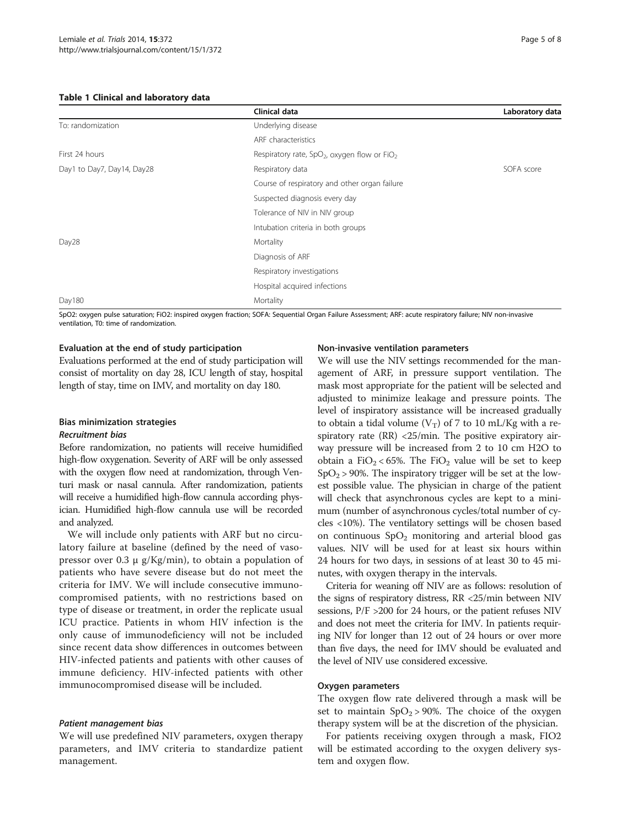#### <span id="page-4-0"></span>Table 1 Clinical and laboratory data

|                            | Clinical data                                                        | Laboratory data |
|----------------------------|----------------------------------------------------------------------|-----------------|
| To: randomization          | Underlying disease                                                   |                 |
|                            | ARF characteristics                                                  |                 |
| First 24 hours             | Respiratory rate, SpO <sub>2</sub> , oxygen flow or FiO <sub>2</sub> |                 |
| Day1 to Day7, Day14, Day28 | Respiratory data                                                     | SOFA score      |
|                            | Course of respiratory and other organ failure                        |                 |
|                            | Suspected diagnosis every day                                        |                 |
|                            | Tolerance of NIV in NIV group                                        |                 |
|                            | Intubation criteria in both groups                                   |                 |
| Day28                      | Mortality                                                            |                 |
|                            | Diagnosis of ARF                                                     |                 |
|                            | Respiratory investigations                                           |                 |
|                            | Hospital acquired infections                                         |                 |
| Day180                     | Mortality                                                            |                 |

SpO2: oxygen pulse saturation; FiO2: inspired oxygen fraction; SOFA: Sequential Organ Failure Assessment; ARF: acute respiratory failure; NIV non-invasive ventilation, T0: time of randomization.

#### Evaluation at the end of study participation

Evaluations performed at the end of study participation will consist of mortality on day 28, ICU length of stay, hospital length of stay, time on IMV, and mortality on day 180.

# Bias minimization strategies Recruitment bias

Before randomization, no patients will receive humidified high-flow oxygenation. Severity of ARF will be only assessed with the oxygen flow need at randomization, through Venturi mask or nasal cannula. After randomization, patients will receive a humidified high-flow cannula according physician. Humidified high-flow cannula use will be recorded and analyzed.

We will include only patients with ARF but no circulatory failure at baseline (defined by the need of vasopressor over 0.3 μ g/Kg/min), to obtain a population of patients who have severe disease but do not meet the criteria for IMV. We will include consecutive immunocompromised patients, with no restrictions based on type of disease or treatment, in order the replicate usual ICU practice. Patients in whom HIV infection is the only cause of immunodeficiency will not be included since recent data show differences in outcomes between HIV-infected patients and patients with other causes of immune deficiency. HIV-infected patients with other immunocompromised disease will be included.

#### Patient management bias

We will use predefined NIV parameters, oxygen therapy parameters, and IMV criteria to standardize patient management.

#### Non-invasive ventilation parameters

We will use the NIV settings recommended for the management of ARF, in pressure support ventilation. The mask most appropriate for the patient will be selected and adjusted to minimize leakage and pressure points. The level of inspiratory assistance will be increased gradually to obtain a tidal volume ( $V_T$ ) of 7 to 10 mL/Kg with a respiratory rate (RR) <25/min. The positive expiratory airway pressure will be increased from 2 to 10 cm H2O to obtain a FiO<sub>2</sub> < 65%. The FiO<sub>2</sub> value will be set to keep  $SpO<sub>2</sub> > 90%$ . The inspiratory trigger will be set at the lowest possible value. The physician in charge of the patient will check that asynchronous cycles are kept to a minimum (number of asynchronous cycles/total number of cycles <10%). The ventilatory settings will be chosen based on continuous  $SpO<sub>2</sub>$  monitoring and arterial blood gas values. NIV will be used for at least six hours within 24 hours for two days, in sessions of at least 30 to 45 minutes, with oxygen therapy in the intervals.

Criteria for weaning off NIV are as follows: resolution of the signs of respiratory distress, RR <25/min between NIV sessions, P/F >200 for 24 hours, or the patient refuses NIV and does not meet the criteria for IMV. In patients requiring NIV for longer than 12 out of 24 hours or over more than five days, the need for IMV should be evaluated and the level of NIV use considered excessive.

#### Oxygen parameters

The oxygen flow rate delivered through a mask will be set to maintain  $SpO<sub>2</sub> > 90$ %. The choice of the oxygen therapy system will be at the discretion of the physician.

For patients receiving oxygen through a mask, FIO2 will be estimated according to the oxygen delivery system and oxygen flow.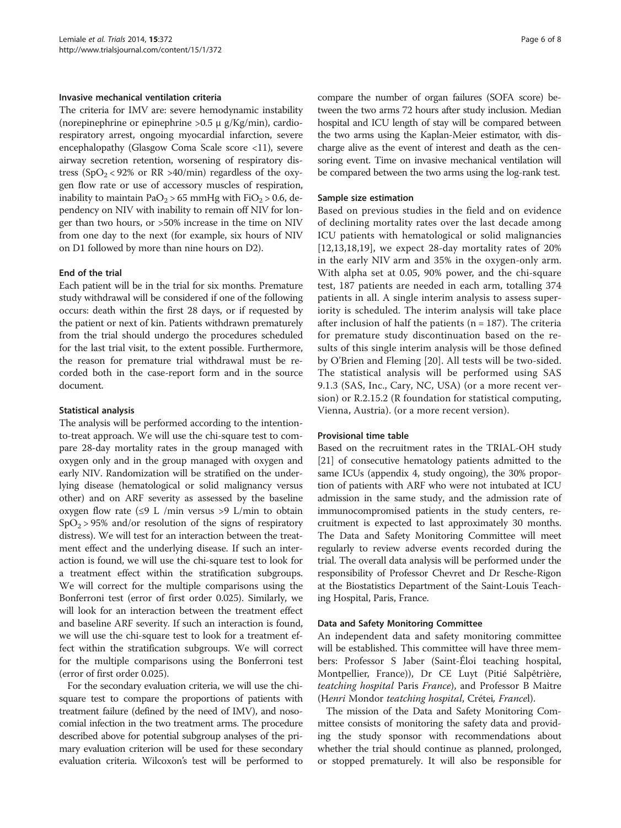#### Invasive mechanical ventilation criteria

The criteria for IMV are: severe hemodynamic instability (norepinephrine or epinephrine >0.5 μ g/Kg/min), cardiorespiratory arrest, ongoing myocardial infarction, severe encephalopathy (Glasgow Coma Scale score <11), severe airway secretion retention, worsening of respiratory distress (SpO<sub>2</sub> < 92% or RR >40/min) regardless of the oxygen flow rate or use of accessory muscles of respiration, inability to maintain  $PaO<sub>2</sub> > 65$  mmHg with  $FiO<sub>2</sub> > 0.6$ , dependency on NIV with inability to remain off NIV for longer than two hours, or >50% increase in the time on NIV from one day to the next (for example, six hours of NIV on D1 followed by more than nine hours on D2).

#### End of the trial

Each patient will be in the trial for six months. Premature study withdrawal will be considered if one of the following occurs: death within the first 28 days, or if requested by the patient or next of kin. Patients withdrawn prematurely from the trial should undergo the procedures scheduled for the last trial visit, to the extent possible. Furthermore, the reason for premature trial withdrawal must be recorded both in the case-report form and in the source document.

#### Statistical analysis

The analysis will be performed according to the intentionto-treat approach. We will use the chi-square test to compare 28-day mortality rates in the group managed with oxygen only and in the group managed with oxygen and early NIV. Randomization will be stratified on the underlying disease (hematological or solid malignancy versus other) and on ARF severity as assessed by the baseline oxygen flow rate (≤9 L /min versus >9 L/min to obtain  $SpO<sub>2</sub> > 95%$  and/or resolution of the signs of respiratory distress). We will test for an interaction between the treatment effect and the underlying disease. If such an interaction is found, we will use the chi-square test to look for a treatment effect within the stratification subgroups. We will correct for the multiple comparisons using the Bonferroni test (error of first order 0.025). Similarly, we will look for an interaction between the treatment effect and baseline ARF severity. If such an interaction is found, we will use the chi-square test to look for a treatment effect within the stratification subgroups. We will correct for the multiple comparisons using the Bonferroni test (error of first order 0.025).

For the secondary evaluation criteria, we will use the chisquare test to compare the proportions of patients with treatment failure (defined by the need of IMV), and nosocomial infection in the two treatment arms. The procedure described above for potential subgroup analyses of the primary evaluation criterion will be used for these secondary evaluation criteria. Wilcoxon's test will be performed to

compare the number of organ failures (SOFA score) between the two arms 72 hours after study inclusion. Median hospital and ICU length of stay will be compared between the two arms using the Kaplan-Meier estimator, with discharge alive as the event of interest and death as the censoring event. Time on invasive mechanical ventilation will be compared between the two arms using the log-rank test.

#### Sample size estimation

Based on previous studies in the field and on evidence of declining mortality rates over the last decade among ICU patients with hematological or solid malignancies  $[12,13,18,19]$  $[12,13,18,19]$  $[12,13,18,19]$  $[12,13,18,19]$ , we expect 28-day mortality rates of 20% in the early NIV arm and 35% in the oxygen-only arm. With alpha set at 0.05, 90% power, and the chi-square test, 187 patients are needed in each arm, totalling 374 patients in all. A single interim analysis to assess superiority is scheduled. The interim analysis will take place after inclusion of half the patients ( $n = 187$ ). The criteria for premature study discontinuation based on the results of this single interim analysis will be those defined by O'Brien and Fleming [\[20](#page-7-0)]. All tests will be two-sided. The statistical analysis will be performed using SAS 9.1.3 (SAS, Inc., Cary, NC, USA) (or a more recent version) or R.2.15.2 (R foundation for statistical computing, Vienna, Austria). (or a more recent version).

#### Provisional time table

Based on the recruitment rates in the TRIAL-OH study [[21](#page-7-0)] of consecutive hematology patients admitted to the same ICUs (appendix 4, study ongoing), the 30% proportion of patients with ARF who were not intubated at ICU admission in the same study, and the admission rate of immunocompromised patients in the study centers, recruitment is expected to last approximately 30 months. The Data and Safety Monitoring Committee will meet regularly to review adverse events recorded during the trial. The overall data analysis will be performed under the responsibility of Professor Chevret and Dr Resche-Rigon at the Biostatistics Department of the Saint-Louis Teaching Hospital, Paris, France.

#### Data and Safety Monitoring Committee

An independent data and safety monitoring committee will be established. This committee will have three members: Professor S Jaber (Saint-Éloi teaching hospital, Montpellier, France)), Dr CE Luyt (Pitié Salpêtrière, teatching hospital Paris France), and Professor B Maitre (Henri Mondor teatching hospital, Crétei, Francel).

The mission of the Data and Safety Monitoring Committee consists of monitoring the safety data and providing the study sponsor with recommendations about whether the trial should continue as planned, prolonged, or stopped prematurely. It will also be responsible for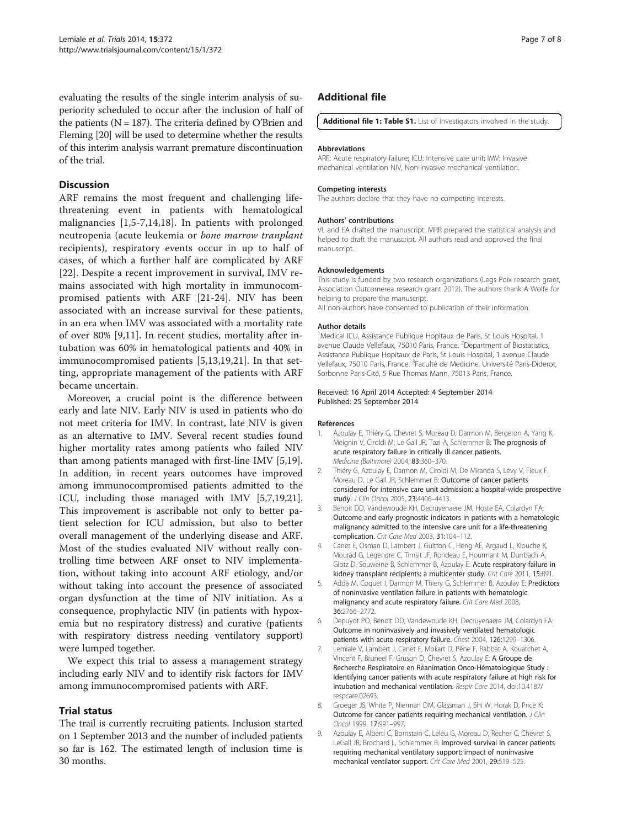<span id="page-6-0"></span>evaluating the results of the single interim analysis of superiority scheduled to occur after the inclusion of half of the patients ( $N = 187$ ). The criteria defined by O'Brien and Fleming [[20](#page-7-0)] will be used to determine whether the results of this interim analysis warrant premature discontinuation of the trial.

# **Discussion**

ARF remains the most frequent and challenging lifethreatening event in patients with hematological malignancies [1,5-7,[14,18\]](#page-7-0). In patients with prolonged neutropenia (acute leukemia or bone marrow tranplant recipients), respiratory events occur in up to half of cases, of which a further half are complicated by ARF [[22\]](#page-7-0). Despite a recent improvement in survival, IMV remains associated with high mortality in immunocompromised patients with ARF [\[21](#page-7-0)-[24\]](#page-7-0). NIV has been associated with an increase survival for these patients, in an era when IMV was associated with a mortality rate of over 80% [9[,11](#page-7-0)]. In recent studies, mortality after intubation was 60% in hematological patients and 40% in immunocompromised patients [5[,13](#page-7-0),[19,21\]](#page-7-0). In that setting, appropriate management of the patients with ARF became uncertain.

Moreover, a crucial point is the difference between early and late NIV. Early NIV is used in patients who do not meet criteria for IMV. In contrast, late NIV is given as an alternative to IMV. Several recent studies found higher mortality rates among patients who failed NIV than among patients managed with first-line IMV [5[,19](#page-7-0)]. In addition, in recent years outcomes have improved among immunocompromised patients admitted to the ICU, including those managed with IMV [5,7[,19,21](#page-7-0)]. This improvement is ascribable not only to better patient selection for ICU admission, but also to better overall management of the underlying disease and ARF. Most of the studies evaluated NIV without really controlling time between ARF onset to NIV implementation, without taking into account ARF etiology, and/or without taking into account the presence of associated organ dysfunction at the time of NIV initiation. As a consequence, prophylactic NIV (in patients with hypoxemia but no respiratory distress) and curative (patients with respiratory distress needing ventilatory support) were lumped together.

We expect this trial to assess a management strategy including early NIV and to identify risk factors for IMV among immunocompromised patients with ARF.

# Trial status

The trail is currently recruiting patients. Inclusion started on 1 September 2013 and the number of included patients so far is 162. The estimated length of inclusion time is 30 months.

# Additional file

[Additional file 1: Table S1.](http://www.biomedcentral.com/content/supplementary/1745-6215-15-372-S1.docx) List of investigators involved in the study.

#### Abbreviations

ARF: Acute respiratory failure; ICU: Intensive care unit; IMV: Invasive mechanical ventilation NIV, Non-invasive mechanical ventilation.

#### Competing interests

The authors declare that they have no competing interests.

#### Authors' contributions

VL and EA drafted the manuscript. MRR prepared the statistical analysis and helped to draft the manuscript. All authors read and approved the final manuscript.

#### Acknowledgements

This study is funded by two research organizations (Legs Poix research grant, Association Outcomerea research grant 2012). The authors thank A Wolfe for helping to prepare the manuscript.

All non-authors have consented to publication of their information.

#### Author details

<sup>1</sup> Medical ICU, Assistance Publique Hopitaux de Paris, St Louis Hospital, 1 avenue Claude Vellefaux, 75010 Paris, France. <sup>2</sup>Department of Biostatistics Assistance Publique Hopitaux de Paris, St Louis Hospital, 1 avenue Claude Vellefaux, 75010 Paris, France. <sup>3</sup> Faculté de Medicine, Université Paris-Diderot Sorbonne Paris-Cité, 5 Rue Thomas Mann, 75013 Paris, France.

#### Received: 16 April 2014 Accepted: 4 September 2014 Published: 25 September 2014

#### References

- 1. Azoulay E, Thiéry G, Chevret S, Moreau D, Darmon M, Bergeron A, Yang K, Meignin V, Ciroldi M, Le Gall JR, Tazi A, Schlemmer B: The prognosis of acute respiratory failure in critically ill cancer patients. Medicine (Baltimore) 2004, 83:360–370.
- 2. Thiéry G, Azoulay E, Darmon M, Ciroldi M, De Miranda S, Lévy V, Fieux F, Moreau D, Le Gall JR, Schlemmer B: Outcome of cancer patients considered for intensive care unit admission: a hospital-wide prospective study. J Clin Oncol 2005, 23:4406-4413.
- 3. Benoit DD, Vandewoude KH, Decruyenaere JM, Hoste EA, Colardyn FA: Outcome and early prognostic indicators in patients with a hematologic malignancy admitted to the intensive care unit for a life-threatening complication. Crit Care Med 2003, 31:104–112.
- 4. Canet E, Osman D, Lambert J, Guitton C, Heng AE, Argaud L, Klouche K, Mourad G, Legendre C, Timsit JF, Rondeau E, Hourmant M, Durrbach A, Glotz D, Souweine B, Schlemmer B, Azoulay E: Acute respiratory failure in kidney transplant recipients: a multicenter study. Crit Care 2011, 15:R91.
- 5. Adda M, Coquet I, Darmon M, Thiery G, Schlemmer B, Azoulay E: Predictors of noninvasive ventilation failure in patients with hematologic malignancy and acute respiratory failure. Crit Care Med 2008, 36:2766–2772.
- 6. Depuydt PO, Benoit DD, Vandewoude KH, Decruyenaere JM, Colardyn FA: Outcome in noninvasively and invasively ventilated hematologic patients with acute respiratory failure. Chest 2004, 126:1299-1306.
- 7. Lemiale V, Lambert J, Canet E, Mokart D, Pène F, Rabbat A, Kouatchet A, Vincent F, Bruneel F, Gruson D, Chevret S, Azoulay E: A Groupe de Recherche Respiratoire en Réanimation Onco-Hématologique Study : Identifying cancer patients with acute respiratory failure at high risk for intubation and mechanical ventilation. Respir Care 2014, doi:10.4187/ respcare.02693.
- 8. Groeger JS, White P, Nierman DM, Glassman J, Shi W, Horak D, Price K: Outcome for cancer patients requiring mechanical ventilation. J Clin Oncol 1999, 17:991–997.
- 9. Azoulay E, Alberti C, Bornstain C, Leleu G, Moreau D, Recher C, Chevret S, LeGall JR, Brochard L, Schlemmer B: Improved survival in cancer patients requiring mechanical ventilatory support: impact of noninvasive mechanical ventilator support. Crit Care Med 2001, 29:519–525.